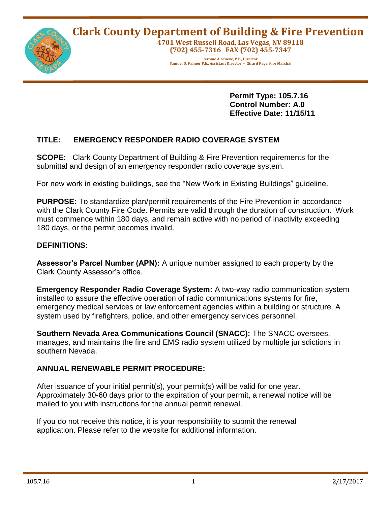# **Clark County Department of Building & Fire Prevention**



**4701 West Russell Road, Las Vegas, NV 89118 (702) 455-7316 FAX (702) 455-7347**

**Jerome A. Stueve, P.E., Director Samuel D. Palmer P.E., Assistant Director Girard Page, Fire Marshal**

> **Permit Type: 105.7.16 Control Number: A.0 Effective Date: 11/15/11**

## **TITLE: EMERGENCY RESPONDER RADIO COVERAGE SYSTEM**

**SCOPE:** Clark County Department of Building & Fire Prevention requirements for the submittal and design of an emergency responder radio coverage system.

For new work in existing buildings, see the "New Work in Existing Buildings" guideline.

**PURPOSE:** To standardize plan/permit requirements of the Fire Prevention in accordance with the Clark County Fire Code. Permits are valid through the duration of construction. Work must commence within 180 days, and remain active with no period of inactivity exceeding 180 days, or the permit becomes invalid.

#### **DEFINITIONS:**

**Assessor's Parcel Number (APN):** A unique number assigned to each property by the Clark County Assessor's office.

**Emergency Responder Radio Coverage System:** A two-way radio communication system installed to assure the effective operation of radio communications systems for fire, emergency medical services or law enforcement agencies within a building or structure. A system used by firefighters, police, and other emergency services personnel.

**Southern Nevada Area Communications Council (SNACC):** The SNACC oversees, manages, and maintains the fire and EMS radio system utilized by multiple jurisdictions in southern Nevada.

### **ANNUAL RENEWABLE PERMIT PROCEDURE:**

After issuance of your initial permit(s), your permit(s) will be valid for one year. Approximately 30-60 days prior to the expiration of your permit, a renewal notice will be mailed to you with instructions for the annual permit renewal.

If you do not receive this notice, it is your responsibility to submit the renewal application. Please refer to the website for additional information.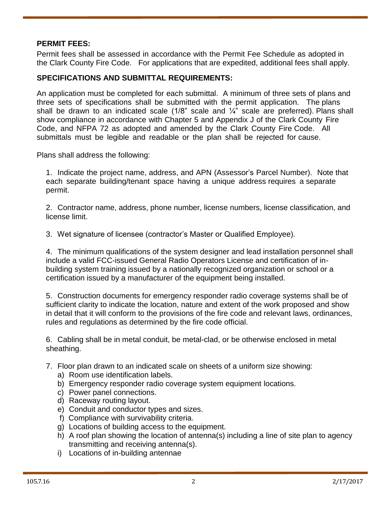#### **PERMIT FEES:**

Permit fees shall be assessed in accordance with the Permit Fee Schedule as adopted in the Clark County Fire Code. For applications that are expedited, additional fees shall apply.

#### **SPECIFICATIONS AND SUBMITTAL REQUIREMENTS:**

An application must be completed for each submittal. A minimum of three sets of plans and three sets of specifications shall be submitted with the permit application. The plans shall be drawn to an indicated scale (1/8" scale and  $\frac{1}{4}$ " scale are preferred). Plans shall show compliance in accordance with Chapter 5 and Appendix J of the Clark County Fire Code, and NFPA 72 as adopted and amended by the Clark County Fire Code. All submittals must be legible and readable or the plan shall be rejected for cause.

Plans shall address the following:

1. Indicate the project name, address, and APN (Assessor's Parcel Number). Note that each separate building/tenant space having a unique address requires a separate permit.

2. Contractor name, address, phone number, license numbers, license classification, and license limit.

3. Wet signature of licensee (contractor's Master or Qualified Employee).

4. The minimum qualifications of the system designer and lead installation personnel shall include a valid FCC-issued General Radio Operators License and certification of inbuilding system training issued by a nationally recognized organization or school or a certification issued by a manufacturer of the equipment being installed.

5. Construction documents for emergency responder radio coverage systems shall be of sufficient clarity to indicate the location, nature and extent of the work proposed and show in detail that it will conform to the provisions of the fire code and relevant laws, ordinances, rules and regulations as determined by the fire code official.

6. Cabling shall be in metal conduit, be metal-clad, or be otherwise enclosed in metal sheathing.

- 7. Floor plan drawn to an indicated scale on sheets of a uniform size showing:
	- a) Room use identification labels.
	- b) Emergency responder radio coverage system equipment locations.
	- c) Power panel connections.
	- d) Raceway routing layout.
	- e) Conduit and conductor types and sizes.
	- f) Compliance with survivability criteria.
	- g) Locations of building access to the equipment.
	- h) A roof plan showing the location of antenna(s) including a line of site plan to agency transmitting and receiving antenna(s).
	- i) Locations of in-building antennae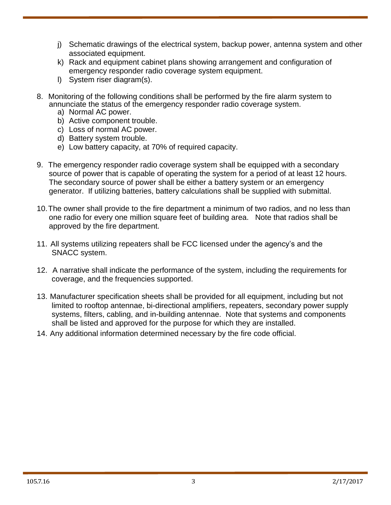- j) Schematic drawings of the electrical system, backup power, antenna system and other associated equipment.
- k) Rack and equipment cabinet plans showing arrangement and configuration of emergency responder radio coverage system equipment.
- l) System riser diagram(s).
- 8. Monitoring of the following conditions shall be performed by the fire alarm system to annunciate the status of the emergency responder radio coverage system.
	- a) Normal AC power.
	- b) Active component trouble.
	- c) Loss of normal AC power.
	- d) Battery system trouble.
	- e) Low battery capacity, at 70% of required capacity.
- 9. The emergency responder radio coverage system shall be equipped with a secondary source of power that is capable of operating the system for a period of at least 12 hours. The secondary source of power shall be either a battery system or an emergency generator. If utilizing batteries, battery calculations shall be supplied with submittal.
- 10.The owner shall provide to the fire department a minimum of two radios, and no less than one radio for every one million square feet of building area. Note that radios shall be approved by the fire department.
- 11. All systems utilizing repeaters shall be FCC licensed under the agency's and the SNACC system.
- 12. A narrative shall indicate the performance of the system, including the requirements for coverage, and the frequencies supported.
- 13. Manufacturer specification sheets shall be provided for all equipment, including but not limited to rooftop antennae, bi-directional amplifiers, repeaters, secondary power supply systems, filters, cabling, and in-building antennae. Note that systems and components shall be listed and approved for the purpose for which they are installed.
- 14. Any additional information determined necessary by the fire code official.